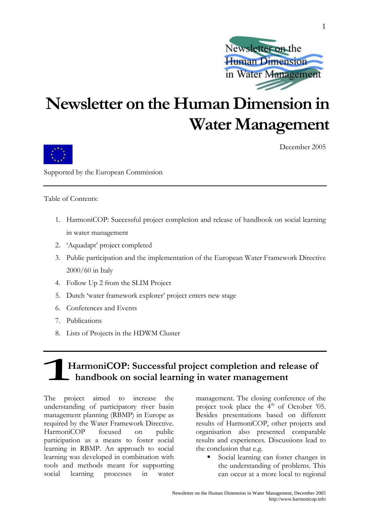

# **Newsletter on the Human Dimension in Water Management**



December 2005

Supported by the European Commission

Table of Contents:

- 1. HarmoniCOP: Successful project completion and release of handbook on social learning in water management
- 2. 'Aquadapt' project completed
- 3. Public participation and the implementation of the European Water Framework Directive 2000/60 in Italy
- 4. Follow Up 2 from the SLIM Project
- 5. Dutch 'water framework explorer' project enters new stage
- 6. Conferences and Events
- 7. Publications
- 8. Lists of Projects in the HDWM Cluster

# **HarmoniCOP: Successful project completion and release of handbook on social learning in water management**

The project aimed to increase the understanding of participatory river basin management planning (RBMP) in Europe as required by the Water Framework Directive. HarmoniCOP focused on public participation as a means to foster social learning in RBMP. An approach to social learning was developed in combination with tools and methods meant for supporting social learning processes in water management. The closing conference of the project took place the  $4<sup>th</sup>$  of October '05. Besides presentations based on different results of HarmoniCOP, other projects and organisation also presented comparable results and experiences. Discussions lead to the conclusion that e.g.

 Social learning can foster changes in the understanding of problems. This can occur at a more local to regional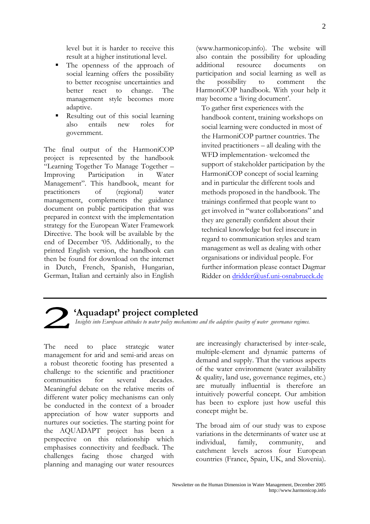level but it is harder to receive this result at a higher institutional level.

- The openness of the approach of social learning offers the possibility to better recognise uncertainties and better react to change. The management style becomes more adaptive.
- Resulting out of this social learning also entails new roles for government.

The final output of the HarmoniCOP project is represented by the handbook "Learning Together To Manage Together – Improving Participation in Water Management". This handbook, meant for practitioners of (regional) water management, complements the guidance document on public participation that was prepared in context with the implementation strategy for the European Water Framework Directive. The book will be available by the end of December '05. Additionally, to the printed English version, the handbook can then be found for download on the internet in Dutch, French, Spanish, Hungarian, German, Italian and certainly also in English ([www.harmonicop.info\)](http://www.harmonicop.info/). The website will also contain the possibility for uploading additional resource documents on participation and social learning as well as the possibility to comment the HarmoniCOP handbook. With your help it may become a 'living document'.

To gather first experiences with the handbook content, training workshops on social learning were conducted in most of the HarmoniCOP partner countries. The invited practitioners – all dealing with the WFD implementation- welcomed the support of stakeholder participation by the HarmoniCOP concept of social learning and in particular the different tools and methods proposed in the handbook. The trainings confirmed that people want to get involved in "water collaborations" and they are generally confident about their technical knowledge but feel insecure in regard to communication styles and team management as well as dealing with other organisations or individual people. For further information please contact Dagmar Ridder on [dridder@usf.uni-osnabrueck.de](mailto:dridder@usf.uni-osnabrueck.de)



### **'Aquadapt' project completed**

*Insights into European attitudes to water policy mechanisms and the adaptive cpacitry of water governance regimes.*

The need to place strategic water management for arid and semi-arid areas on a robust theoretic footing has presented a challenge to the scientific and practitioner communities for several decades. Meaningful debate on the relative merits of different water policy mechanisms can only be conducted in the context of a broader appreciation of how water supports and nurtures our societies. The starting point for the AQUADAPT project has been a perspective on this relationship which emphasises connectivity and feedback. The challenges facing those charged with planning and managing our water resources

are increasingly characterised by inter-scale, multiple-element and dynamic patterns of demand and supply. That the various aspects of the water environment (water availability & quality, land use, governance regimes, etc.) are mutually influential is therefore an intuitively powerful concept. Our ambition has been to explore just how useful this concept might be.

The broad aim of our study was to expose variations in the determinants of water use at individual, family, community, and catchment levels across four European countries (France, Spain, UK, and Slovenia).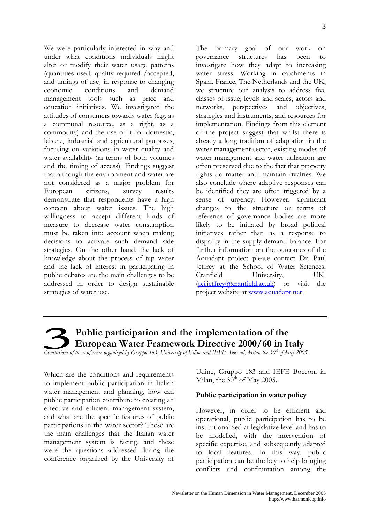We were particularly interested in why and under what conditions individuals might alter or modify their water usage patterns (quantities used, quality required /accepted, and timings of use) in response to changing economic conditions and demand management tools such as price and education initiatives. We investigated the attitudes of consumers towards water (e.g. as a communal resource, as a right, as a commodity) and the use of it for domestic, leisure, industrial and agricultural purposes, focusing on variations in water quality and water availability (in terms of both volumes and the timing of access). Findings suggest that although the environment and water are not considered as a major problem for European citizens, survey results demonstrate that respondents have a high concern about water issues. The high willingness to accept different kinds of measure to decrease water consumption must be taken into account when making decisions to activate such demand side strategies. On the other hand, the lack of knowledge about the process of tap water and the lack of interest in participating in public debates are the main challenges to be addressed in order to design sustainable strategies of water use.

The primary goal of our work on governance structures has been to investigate how they adapt to increasing water stress. Working in catchments in Spain, France, The Netherlands and the UK, we structure our analysis to address five classes of issue; levels and scales, actors and networks, perspectives and objectives, strategies and instruments, and resources for implementation. Findings from this element of the project suggest that whilst there is already a long tradition of adaptation in the water management sector, existing modes of water management and water utilisation are often preserved due to the fact that property rights do matter and maintain rivalries. We also conclude where adaptive responses can be identified they are often triggered by a sense of urgency. However, significant changes to the structure or terms of reference of governance bodies are more likely to be initiated by broad political initiatives rather than as a response to disparity in the supply-demand balance. For further information on the outcomes of the Aquadapt project please contact Dr. Paul Jeffrey at the School of Water Sciences, Cranfield University, UK. ([p.j.jeffrey@cranfield.ac.uk](mailto:p.j.jeffrey@cranfield.ac.uk)) or visit the project website at [www.aquadapt.net](http://www.aquadapt.net/)

## **Public participation and the implementation of the European Water Framework Directive 2000/60 in Italy**

*Conclusions of the conference organized by Gruppo 183, University of Udine and IEFE- Bocconi, Milan the 30<sup>th</sup> of May 2005.* 

Which are the conditions and requirements to implement public participation in Italian water management and planning, how can public participation contribute to creating an effective and efficient management system, and what are the specific features of public participations in the water sector? These are the main challenges that the Italian water management system is facing, and these were the questions addressed during the conference organized by the University of Udine, Gruppo 183 and IEFE Bocconi in Milan, the  $30<sup>th</sup>$  of May 2005.

#### **Public participation in water policy**

However, in order to be efficient and operational, public participation has to be institutionalized at legislative level and has to be modelled, with the intervention of specific expertise, and subsequently adapted to local features. In this way, public participation can be the key to help bringing conflicts and confrontation among the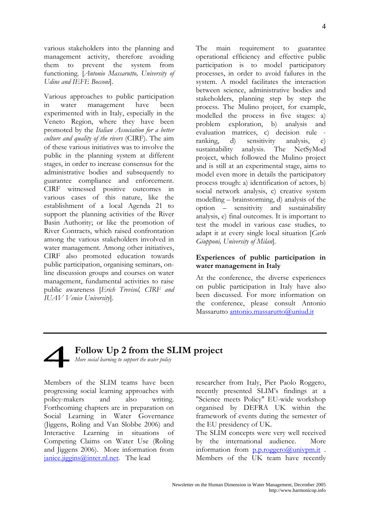various stakeholders into the planning and management activity, therefore avoiding them to prevent the system from functioning. [*Antonio Massarutto, University of Udine and IEFE Bocconi*].

Various approaches to public participation in water management have been experimented with in Italy, especially in the Veneto Region, where they have been promoted by the *Italian Association for a better culture and quality of the rivers* (CIRF). The aim of these various initiatives was to involve the public in the planning system at different stages, in order to increase consensus for the administrative bodies and subsequently to guarantee compliance and enforcement. CIRF witnessed positive outcomes in various cases of this nature, like the establishment of a local Agenda 21 to support the planning activities of the River Basin Authority; or like the promotion of River Contracts, which raised confrontation among the various stakeholders involved in water management. Among other initiatives, CIRF also promoted education towards public participation, organising seminars, online discussion groups and courses on water management, fundamental activities to raise public awareness [*Erich Trevisol, CIRF and IUAV Venice University*].

The main requirement to guarantee operational efficiency and effective public participation is to model participatory processes, in order to avoid failures in the system. A model facilitates the interaction between science, administrative bodies and stakeholders, planning step by step the process. The Mulino project, for example, modelled the process in five stages: a) problem exploration, b) analysis and evaluation matrices, c) decision rule -<br>ranking. d) sensitivity analysis, e) d) sensitivity analysis, e) sustainability analysis. The NetSyMod project, which followed the Mulino project and is still at an experimental stage, aims to model even more in details the participatory process trough: a) identification of actors, b) social network analysis, c) creative system modelling – brainstorming, d) analysis of the option – sensitivity and sustainability analysis, e) final outcomes. It is important to test the model in various case studies, to adapt it at every single local situation [*Carlo Giupponi, University of Milan*].

#### **Experiences of public participation in water management in Italy**

At the conference, the diverse experiences on public participation in Italy have also been discussed. For more information on the conference, please consult Antonio Massarutto [antonio.massarutto@uniud.it](mailto:antonio.massarutto@uniud.it)

## **Follow Up 2 from the SLIM project**

*More social learning to support the water policy* 

Members of the SLIM teams have been progressing social learning approaches with policy-makers and also writing. Forthcoming chapters are in preparation on Social Learning in Water Governance (Jiggens, Roling and Van Slobbe 2006) and Interactive Learning in situations of Competing Claims on Water Use (Roling and Jiggens 2006). More information from  $janice.ijegins@inter.nl.net.$  The lead

researcher from Italy, Pier Paolo Roggero, recently presented SLIM's findings at a "Science meets Policy" EU-wide workshop organised by DEFRA UK within the framework of events during the semester of the EU presidency of UK.

The SLIM concepts were very well received by the international audience. More information from  $p.p.roggero(a)$ univpm.it. Members of the UK team have recently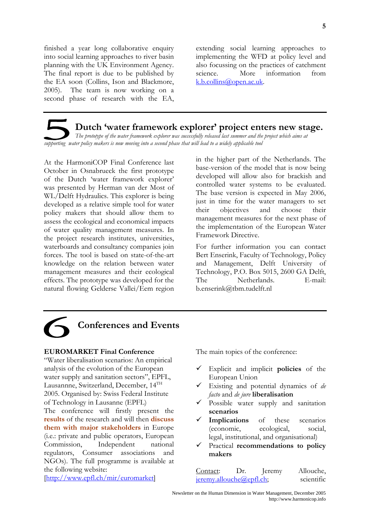finished a year long collaborative enquiry into social learning approaches to river basin planning with the UK Environment Agency. The final report is due to be published by the EA soon (Collins, Ison and Blackmore, 2005). The team is now working on a second phase of research with the EA,

extending social learning approaches to implementing the WFD at policy level and also focussing on the practices of catchment science. More information from [k.b.collins@open.ac.uk](mailto:k.b.collins@open.ac.uk).

### **Dutch 'water framework explorer' project enters new stage.**

*The prototype of the water framework explorer was successfully released last summer and the project which aims at supporting water policy makers is now moving into a second phase that will lead to a widely applicable tool*

At the HarmoniCOP Final Conference last October in Osnabrueck the first prototype of the Dutch 'water framework explorer' was presented by Herman van der Most of WL/Delft Hydraulics. This explorer is being developed as a relative simple tool for water policy makers that should allow them to assess the ecological and economical impacts of water quality management measures. In the project research institutes, universities, waterboards and consultancy companies join forces. The tool is based on state-of-the-art knowledge on the relation between water management measures and their ecological effects. The prototype was developed for the natural flowing Gelderse Vallei/Eem region in the higher part of the Netherlands. The base-version of the model that is now being developed will allow also for brackish and controlled water systems to be evaluated. The base version is expected in May 2006, just in time for the water managers to set their objectives and choose their management measures for the next phase of the implementation of the European Water Framework Directive.

For further information you can contact Bert Enserink, Faculty of Technology, Policy and Management, Delft University of Technology, P.O. Box 5015, 2600 GA Delft, The Netherlands. E-mail: b.enserink@tbm.tudelft.nl

# **Conferences and Events**

#### **EUROMARKET Final Conference**

"Water liberalisation scenarios: An empirical analysis of the evolution of the European water supply and sanitation sectors", EPFL, Lausannne, Switzerland, December, 14<sup>TH</sup> 2005. Organised by: Swiss Federal Institute of Technology in Lausanne (EPFL)

The conference will firstly present the **results** of the research and will then **discuss them with major stakeholders** in Europe (i.e.: private and public operators, European Commission, Independent national regulators, Consumer associations and NGOs). The full programme is available at the following website:

[\[http://www.epfl.ch/mir/euromarket](http://www.epfl.ch/mir/euromarket)]

The main topics of the conference:

- 9 Explicit and implicit **policies** of the European Union
- 9 Existing and potential dynamics of *de facto* and *de jure* **liberalisation**
- $\checkmark$  Possible water supply and sanitation **scenarios**
- **Implications** of these scenarios (economic, ecological, social, legal, institutional, and organisational)
- 9 Practical **recommendations to policy makers**

| Contact:                        | Dr. | Jeremy | Allouche,  |
|---------------------------------|-----|--------|------------|
| <u>jeremy.allouche@epfl.ch;</u> |     |        | scientific |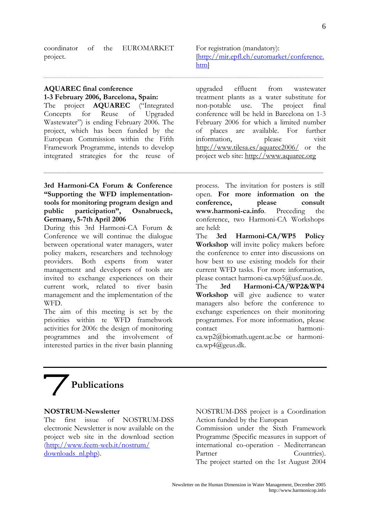#### **AQUAREC final conference 1-3 February 2006, Barcelona, Spain:**

The project **AQUAREC** ("Integrated Concepts for Reuse of Upgraded Wastewater") is ending February 2006. The project, which has been funded by the European Commission within the Fifth Framework Programme, intends to develop integrated strategies for the reuse of

### **3rd Harmoni-CA Forum & Conference "Supporting the WFD implementationtools for monitoring program design and public participation", Osnabrueck, Germany, 5-7th April 2006**

During this 3rd Harmoni-CA Forum & Conference we will continue the dialogue between operational water managers, water policy makers, researchers and technology providers. Both experts from water management and developers of tools are invited to exchange experiences on their current work, related to river basin management and the implementation of the WFD.

The aim of this meeting is set by the priorities within te WFD framehwork activities for 2006: the design of monitoring programmes and the involvement of interested parties in the river basin planning

upgraded effluent from wastewater treatment plants as a water substitute for non-potable use. The project final conference will be held in Barcelona on 1-3 February 2006 for which a limited number of places are available. For further information, please visit <http://www.tilesa.es/aquarec2006/> or the

[[http://mir.epfl.ch/euromarket/conference.](http://mir.epfl.ch/euromarket/conference.htm)

For registration (mandatory):

[htm](http://mir.epfl.ch/euromarket/conference.htm)]

project web site: [http://www.aquarec.org](http://www.aquarec.org/)

process. The invitation for posters is still open. **For more information on the conference, please consult [www.harmoni-ca.info](http://www.harmoni-ca.info/)**. Preceding the conference, two Harmoni-CA Workshops are held:

The **3rd Harmoni-CA/WP5 Policy Workshop** will invite policy makers before the conference to enter into discussions on how best to use existing models for their current WFD tasks. For more information, please contact [harmoni-ca.wp5@usf.uos.de.](mailto:harmoni-ca.wp5@usf.uos.de) The **3rd Harmoni-CA/WP2&WP4 Workshop** will give audience to water managers also before the conference to exchange experiences on their monitoring programmes. For more information, please contact [harmoni](mailto:harmoni-ca.wp2@biomath.ugent.ac.be)[ca.wp2@biomath.ugent.ac.be](mailto:harmoni-ca.wp2@biomath.ugent.ac.be) or [harmoni](mailto:harmoni-ca.wp4@geus.dk)[ca.wp4@geus.dk](mailto:harmoni-ca.wp4@geus.dk).

# **Publications**

#### **NOSTRUM-Newsletter**

The first issue of NOSTRUM-DSS electronic Newsletter is now available on the project web site in the download section [\(http://www.feem-web.it/nostrum/](http://www.feem-web.it/nostrum/%20downloads_nl.php)  downloads nl.php).

NOSTRUM-DSS project is a Coordination Action funded by the European Commission under the Sixth Framework Programme (Specific measures in support of international co-operation - Mediterranean Partner Countries). The project started on the 1st August 2004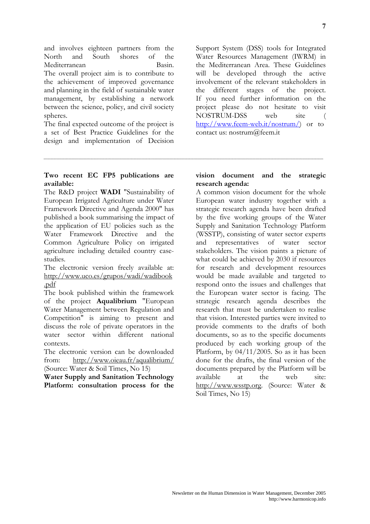and involves eighteen partners from the North and South shores of the Mediterranean Basin. The overall project aim is to contribute to the achievement of improved governance and planning in the field of sustainable water management, by establishing a network between the science, policy, and civil society spheres.

The final expected outcome of the project is a set of Best Practice Guidelines for the design and implementation of Decision

Support System (DSS) tools for Integrated Water Resources Management (IWRM) in the Mediterranean Area. These Guidelines will be developed through the active involvement of the relevant stakeholders in the different stages of the project. If you need further information on the project please do not hesitate to visit NOSTRUM-DSS web site ( [http://www.feem-web.it/nostrum/\)](http://www.feem-web.it/nostrum/) or to contact us: nostrum@feem.it

#### **Two recent EC FP5 publications are available:**

The R&D project **WADI** "Sustainability of European Irrigated Agriculture under Water Framework Directive and Agenda 2000" has published a book summarising the impact of the application of EU policies such as the Water Framework Directive and the Common Agriculture Policy on irrigated agriculture including detailed country casestudies.

The electronic version freely available at: [http://www.uco.es/grupos/wadi/wadibook](http://www.uco.es/grupos/wadi/wadibook.pdf) [.pdf](http://www.uco.es/grupos/wadi/wadibook.pdf)

The book published within the framework of the project **Aqualibrium** "European Water Management between Regulation and Competition" is aiming to present and discuss the role of private operators in the water sector within different national contexts.

The electronic version can be downloaded from: <http://www.oieau.fr/aqualibrium/> (Source: Water & Soil Times, No 15)

**Water Supply and Sanitation Technology Platform: consultation process for the** 

#### **vision document and the strategic research agenda:**

A common vision document for the whole European water industry together with a strategic research agenda have been drafted by the five working groups of the Water Supply and Sanitation Technology Platform (WSSTP), consisting of water sector experts and representatives of water sector stakeholders. The vision paints a picture of what could be achieved by 2030 if resources for research and development resources would be made available and targeted to respond onto the issues and challenges that the European water sector is facing. The strategic research agenda describes the research that must be undertaken to realise that vision. Interested parties were invited to provide comments to the drafts of both documents, so as to the specific documents produced by each working group of the Platform, by 04/11/2005. So as it has been done for the drafts, the final version of the documents prepared by the Platform will be available at the web site: [http://www.wsstp.org](http://www.wsstp.org/). (Source: Water & Soil Times, No 15)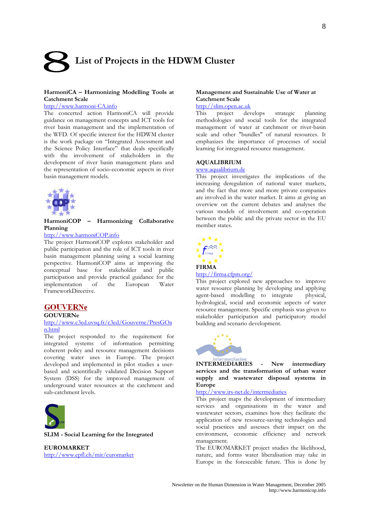# **List of Projects in the HDWM Cluster**

#### **HarmoniCA – Harmonizing Modelling Tools at Catchment Scale**

#### [http://www.harmoni-CA.info](http://www.harmoni-ca.info/)

The concerted action HarmoniCA will provide guidance on management concepts and ICT tools for river basin management and the implementation of the WFD. Of specific interest for the HDWM cluster is the work package on "Integrated Assessment and the Science Policy Interface" that deals specifically with the involvement of stakeholders in the development of river basin management plans and the representation of socio-economic aspects in river basin management models.



#### **HarmoniCOP – Harmonizing Collaborative Planning**

#### [http://www.harmoniCOP.info](http://www.harmonicop.info/)

The project HarmoniCOP explores stakeholder and public participation and the role of ICT tools in river basin management planning using a social learning perspective. HarmoniCOP aims at improving the conceptual base for stakeholder and public participation and provide practical guidance for the implementation of the European Water FrameworkDirective.

#### **GOUVERNe**

#### **GOUVERNe**

#### [http://www.c3ed.uvsq.fr/c3ed/Gouverne/PresGOa](http://www.c3ed.uvsq.fr/c3ed/Gouverne/PresGOan.html) [n.html](http://www.c3ed.uvsq.fr/c3ed/Gouverne/PresGOan.html)

The project responded to the requirement for integrated systems of information permitting coherent policy and resource management decisions covering water uses in Europe. The project developed and implemented in pilot studies a userbased and scientifically validated Decision Support System (DSS) for the improved management of underground water resources at the catchment and sub-catchment levels.



**SLIM - Social Learning for the Integrated** 

**EUROMARKET** <http://www.epfl.ch/mir/euromarket>

#### **Management and Sustainable Use of Water at Catchment Scale**

#### [http://slim.open.ac.uk](http://slim.open.ac.uk/)

This project develops strategic planning methodologies and social tools for the integrated management of water at catchment or river-basin scale and other "bundles" of natural resources. It emphasizes the importance of processes of social learning for integrated resource management.

#### **AQUALIBRIUM**

#### [www.aqualibrium.de](http://www.aqualibrium.de/)

This project investigates the implications of the increasing deregulation of national water markets, and the fact that more and more private companies are involved in the water market. It aims at giving an overview on the current debates and analyses the various models of involvement and co-operation between the public and the private sector in the EU member states.



#### <http://firma.cfpm.org/>

This project explored new approaches to improve water resource planning by developing and applying agent-based modelling to integrate physical, hydrological, social and economic aspects of water resource management. Specific emphasis was given to stakeholder participation and participatory model building and scenario development.



**INTERMEDIARIES - New intermediary services and the transformation of urban water supply and wastewater disposal systems in Europe** 

http://[www.irs-net.de/intermediaries](http://www.irs-net.de/intermediaries)

This project maps the development of intermediary services and organisations in the water and wastewater sectors, examines how they facilitate the application of new resource-saving technologies and social practices and assesses their impact on the environment, economic efficiency and network management.

The EUROMARKET project studies the likelihood, nature, and forms water liberalisation may take in Europe in the foreseeable future. This is done by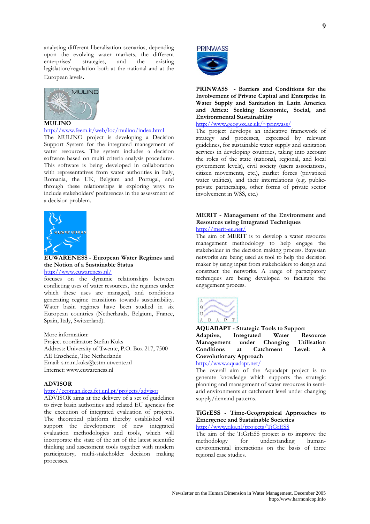analysing different liberalisation scenarios, depending upon the evolving water markets, the different enterprises' strategies, and the existing enterprises' strategies, and the legislation/regulation both at the national and at the European levels.



#### **MULINO**

<http://www.feem.it/web/loc/mulino/index.html>

The MULINO project is developing a Decision Support System for the integrated management of water resources. The system includes a decision software based on multi criteria analysis procedures. This software is being developed in collaboration with representatives from water authorities in Italy, Romania, the UK, Belgium and Portugal, and through these relationships is exploring ways to include stakeholders' preferences in the assessment of a decision problem.



**EUWARENESS** - **European Water Regimes and the Notion of a Sustainable Status**  <http://www.euwareness.nl/>

focuses on the dynamic relationships between conflicting uses of water resources, the regimes under which these uses are managed, and conditions

generating regime transitions towards sustainability. Water basin regimes have been studied in six European countries (Netherlands, Belgium, France, Spain, Italy, Switzerland).

More information: Project coordinator: Stefan Kuks Address: University of Twente, P.O. Box 217, 7500 AE Enschede, The Netherlands Email: s.m.m.kuks@cstm.utwente.nl Internet: www.euwareness.nl

#### **ADVISOR**

#### <http://ecoman.dcea.fct.unl.pt/projects/advisor>

ADVISOR aims at the delivery of a set of guidelines to river basin authorities and related EU agencies for the execution of integrated evaluation of projects. The theoretical platform thereby established will support the development of new integrated evaluation methodologies and tools, which will incorporate the state of the art of the latest scientific thinking and assessment tools together with modern participatory, multi-stakeholder decision making processes.



**PRINWASS - Barriers and Conditions for the Involvement of Private Capital and Enterprise in Water Supply and Sanitation in Latin America and Africa: Seeking Economic, Social, and Environmental Sustainability** 

[http://www.geog.ox.ac.uk/~prinwass/](http://www.geog.ox.ac.uk/%7Eprinwass/)

The project develops an indicative framework of strategy and processes, expressed by relevant guidelines, for sustainable water supply and sanitation services in developing countries, taking into account the roles of the state (national, regional, and local government levels), civil society (users associations, citizen movements, etc.), market forces (privatized water utilities), and their interrelations (e.g. publicprivate partnerships, other forms of private sector involvement in WSS, etc.)

#### **MERIT - Management of the Environment and Resources using Integrated Techniques**  <http://merit-eu.net/>

The aim of MERIT is to develop a water resource management methodology to help engage the stakeholder in the decision making process. Bayesian networks are being used as tool to help the decision maker by using input from stakeholders to design and construct the networks. A range of participatory techniques are being developed to facilitate the engagement process.



**AQUADAPT - Strategic Tools to Support Adaptive, Integrated Water Resource Management under Changing Utilisation Conditions at Catchment Level: A Coevolutionary Approach** 

### <http://www.aquadapt.net/>

The overall aim of the Aquadapt project is to generate knowledge which supports the strategic planning and management of water resources in semiarid environments at catchment level under changing supply/demand patterns.

#### **TiGrESS - Time-Geographical Approaches to Emergence and Sustainable Societies**

<http://www.riks.nl/projects/TiGrESS>

The aim of the TiGrESS project is to improve the<br>methodology for understanding humanmethodology for understanding humanenvironmental interactions on the basis of three regional case studies.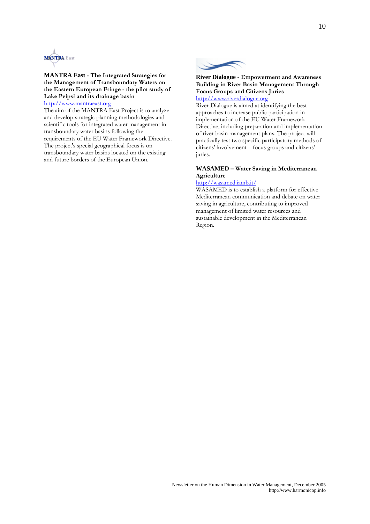

#### **MANTRA East - The Integrated Strategies for the Management of Transboundary Waters on the Eastern European Fringe - the pilot study of Lake Peipsi and its drainage basin**  [http://www.mantraeast.org](http://www.mantraeast.org/)

The aim of the MANTRA East Project is to analyze and develop strategic planning methodologies and scientific tools for integrated water management in transboundary water basins following the requirements of the EU Water Framework Directive. The project's special geographical focus is on transboundary water basins located on the existing and future borders of the European Union.



#### **River Dialogue - Empowerment and Awareness Building in River Basin Management Through Focus Groups and Citizens Juries**  [http://www.riverdialogue.org](http://www.riverdialogue.org/)

River Dialogue is aimed at identifying the best approaches to increase public participation in implementation of the EU Water Framework Directive, including preparation and implementation of river basin management plans. The project will practically test two specific participatory methods of citizens' involvement – focus groups and citizens' juries.

#### **WASAMED – Water Saving in Mediterranean Agriculture**

#### <http://wasamed.iamb.it/>

WASAMED is to establish a platform for effective Mediterranean communication and debate on water saving in agriculture, contributing to improved management of limited water resources and sustainable development in the Mediterranean Region.